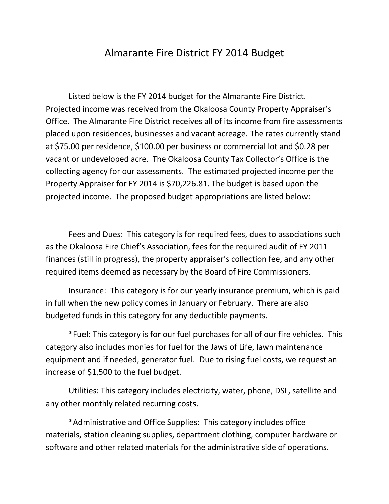## Almarante Fire District FY 2014 Budget

Listed below is the FY 2014 budget for the Almarante Fire District. Projected income was received from the Okaloosa County Property Appraiser's Office. The Almarante Fire District receives all of its income from fire assessments placed upon residences, businesses and vacant acreage. The rates currently stand at \$75.00 per residence, \$100.00 per business or commercial lot and \$0.28 per vacant or undeveloped acre. The Okaloosa County Tax Collector's Office is the collecting agency for our assessments. The estimated projected income per the Property Appraiser for FY 2014 is \$70,226.81. The budget is based upon the projected income. The proposed budget appropriations are listed below:

Fees and Dues: This category is for required fees, dues to associations such as the Okaloosa Fire Chief's Association, fees for the required audit of FY 2011 finances (still in progress), the property appraiser's collection fee, and any other required items deemed as necessary by the Board of Fire Commissioners.

Insurance: This category is for our yearly insurance premium, which is paid in full when the new policy comes in January or February. There are also budgeted funds in this category for any deductible payments.

\*Fuel: This category is for our fuel purchases for all of our fire vehicles. This category also includes monies for fuel for the Jaws of Life, lawn maintenance equipment and if needed, generator fuel. Due to rising fuel costs, we request an increase of \$1,500 to the fuel budget.

Utilities: This category includes electricity, water, phone, DSL, satellite and any other monthly related recurring costs.

\*Administrative and Office Supplies: This category includes office materials, station cleaning supplies, department clothing, computer hardware or software and other related materials for the administrative side of operations.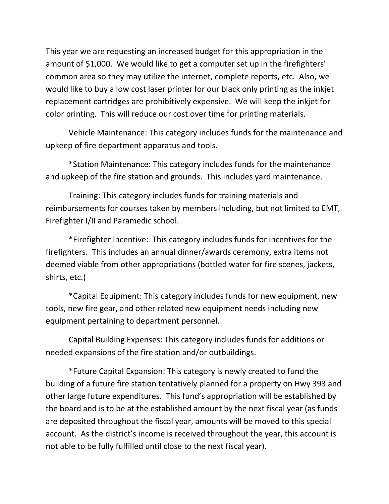This year we are requesting an increased budget for this appropriation in the amount of \$1,000. We would like to get a computer set up in the firefighters' common area so they may utilize the internet, complete reports, etc. Also, we would like to buy a low cost laser printer for our black only printing as the inkjet replacement cartridges are prohibitively expensive. We will keep the inkjet for color printing. This will reduce our cost over time for printing materials.

Vehicle Maintenance: This category includes funds for the maintenance and upkeep of fire department apparatus and tools.

\*Station Maintenance: This category includes funds for the maintenance and upkeep of the fire station and grounds. This includes yard maintenance.

Training: This category includes funds for training materials and reimbursements for courses taken by members including, but not limited to EMT, Firefighter I/II and Paramedic school.

\*Firefighter Incentive: This category includes funds for incentives for the firefighters. This includes an annual dinner/awards ceremony, extra items not deemed viable from other appropriations (bottled water for fire scenes, jackets, shirts, etc.)

\*Capital Equipment: This category includes funds for new equipment, new tools, new fire gear, and other related new equipment needs including new equipment pertaining to department personnel.

Capital Building Expenses: This category includes funds for additions or needed expansions of the fire station and/or outbuildings.

\*Future Capital Expansion: This category is newly created to fund the building of a future fire station tentatively planned for a property on Hwy 393 and other large future expenditures. This fund's appropriation will be established by the board and is to be at the established amount by the next fiscal year (as funds are deposited throughout the fiscal year, amounts will be moved to this special account. As the district's income is received throughout the year, this account is not able to be fully fulfilled until close to the next fiscal year).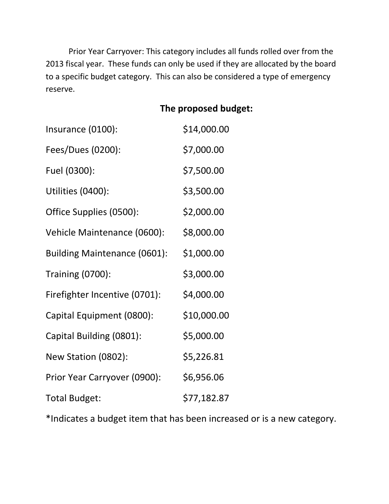Prior Year Carryover: This category includes all funds rolled over from the 2013 fiscal year. These funds can only be used if they are allocated by the board to a specific budget category. This can also be considered a type of emergency reserve.

## **The proposed budget:**

| Insurance (0100):                   | \$14,000.00 |
|-------------------------------------|-------------|
| Fees/Dues (0200):                   | \$7,000.00  |
| Fuel (0300):                        | \$7,500.00  |
| Utilities (0400):                   | \$3,500.00  |
| Office Supplies (0500):             | \$2,000.00  |
| Vehicle Maintenance (0600):         | \$8,000.00  |
| <b>Building Maintenance (0601):</b> | \$1,000.00  |
| <b>Training (0700):</b>             | \$3,000.00  |
| Firefighter Incentive (0701):       | \$4,000.00  |
| Capital Equipment (0800):           | \$10,000.00 |
| Capital Building (0801):            | \$5,000.00  |
| New Station (0802):                 | \$5,226.81  |
| Prior Year Carryover (0900):        | \$6,956.06  |
| <b>Total Budget:</b>                | \$77,182.87 |

\*Indicates a budget item that has been increased or is a new category.